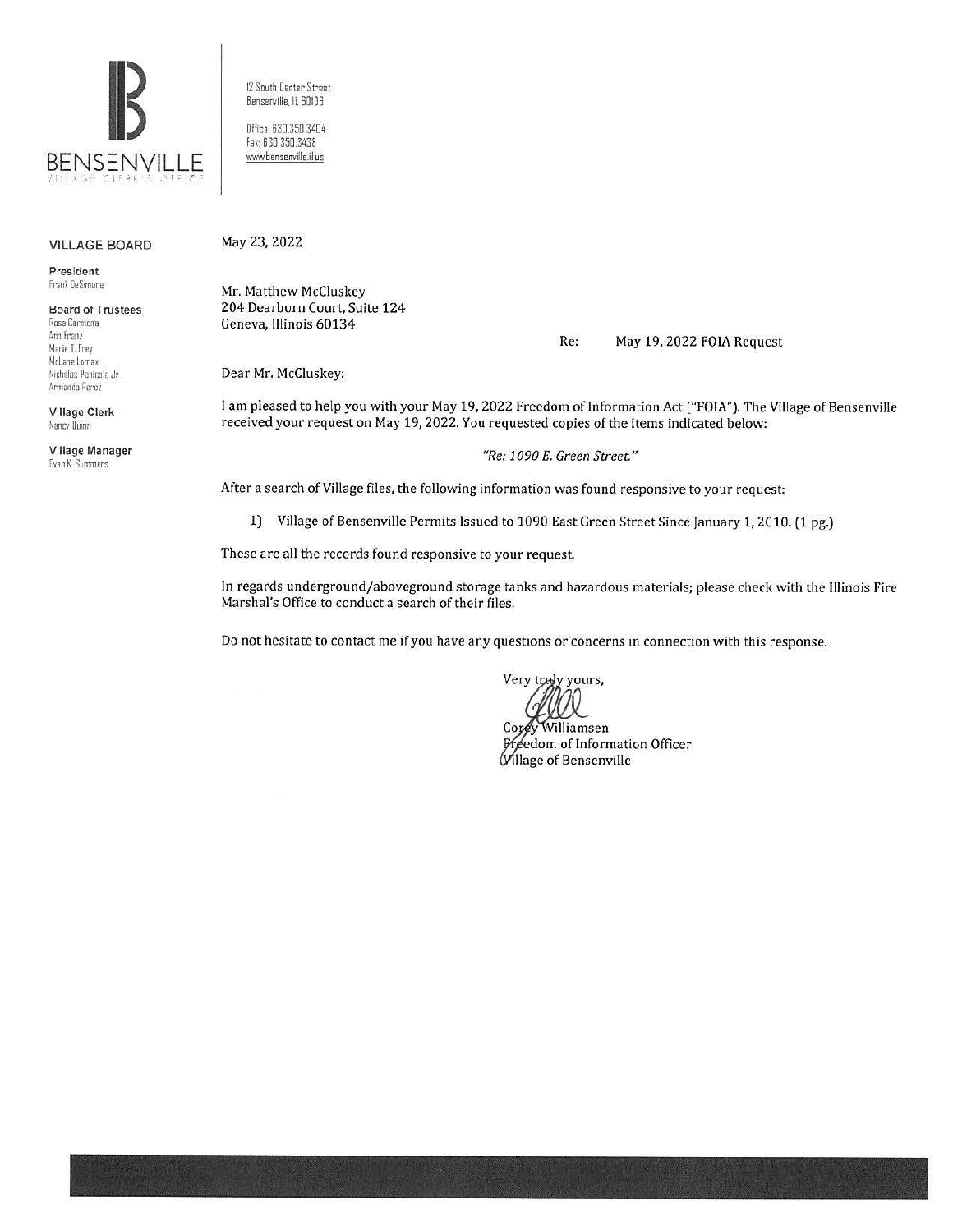

12 South Center Street Benserville, IL 60106 Oflice: 630.350.3404 fo:<: 630.350.3438

www.bensenville.il.us

## VILLAGE BOARD

President **r 10n~ DeS,mone** 

Board of Trustees Rosa Carmona Ann Franz Marie I.Frey McLane Lomax Nicholas Panicola Jr. Armando Perez

Village Clerk Nancy Iluinn

Village Manager **Evan K. Summers** 

May 23, 2022

Mr. Matthew McCluskey 204 Dearborn Court, Suite 124 Geneva, Illinois 60134

Re: May 19, 2022 FOIA Request

Dear Mr. McCluskey:

I am pleased to help you with your May 19, 2022 Freedom of Information Act ("FOIA"). The Village of Bensenville received your request on May 19, 2022. You requested copies of the items indicated below:

*"Re: 1090 E. Green Street"* 

After a search of Village files, the following information was found responsive to your request:

1) Village of Bensenville Permits Issued to 1090 East Green Street Since January 1, 2010. (1 pg.)

These are all the records found responsive to your request

In regards underground/aboveground storage tanks and hazardous materials; please check with the Illinois Fire Marshal's Office to conduct a search of their files.

Do not hesitate to contact me if you have any questions or concerns in connection with this response.

Very truly yours,

Williamsen  $C$ ore Freedom of Information Officer Willage of Bensenville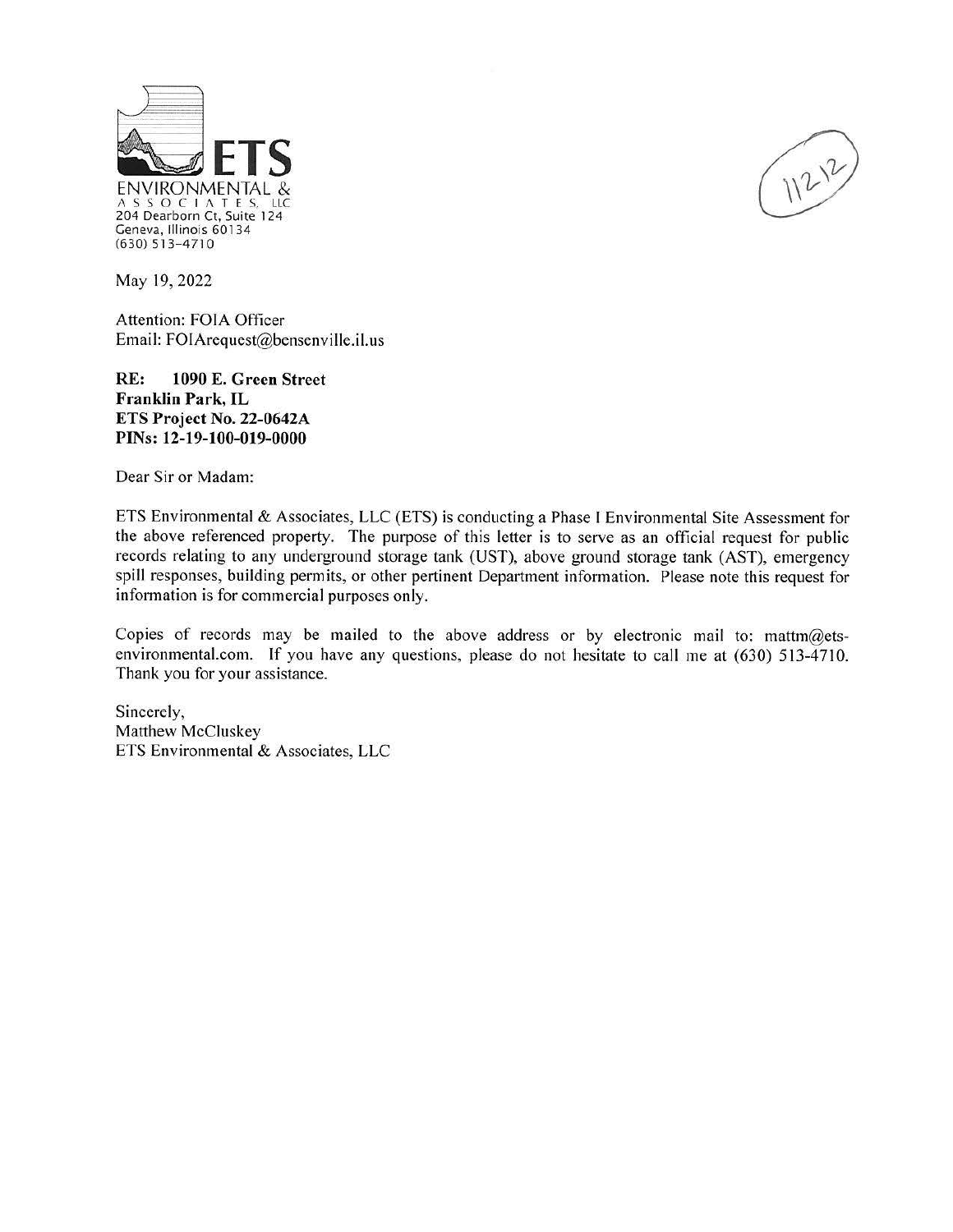

May 19, 2022

Attention: FOIA Officer Email: FOIArequest@bensenville.il.us

**RE: 1090 E. Green Street Franklin Park,** IL **ETS Project No. 22-0642A PINs: 12-19-100-019-0000** 

Dear Sir or Madam:

ETS Environmental & Associates, LLC (ETS) is conducting a Phase I Environmental Site Assessment for the above referenced property. The purpose of this letter is to serve as an official request for public records relating to any underground storage tank (UST), above ground storage tank (AST), emergency spill responses, building permits, or other pertinent Department information. Please note this request for information is for commercial purposes only.

Copies of records may be mailed to the above address or by electronic mail to: mattm@etsenvironmental.com. If you have any questions, please do not hesitate to call me at (630) 5 13-4710. Thank you for your assistance.

Sincerely, Matthew McCluskey ETS Environmental & Associates, LLC